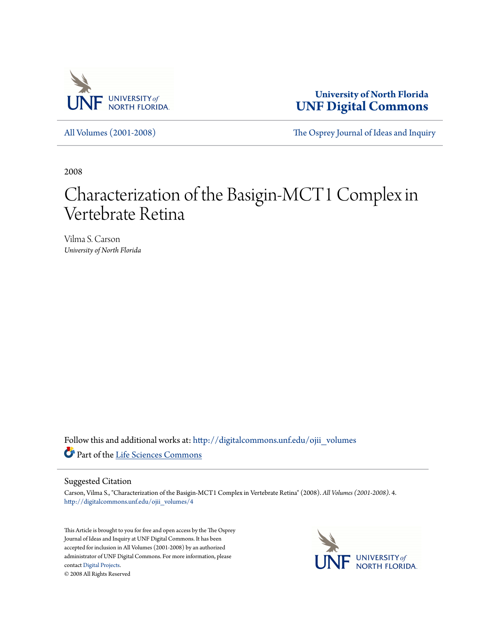

**University of North Florida [UNF Digital Commons](http://digitalcommons.unf.edu?utm_source=digitalcommons.unf.edu%2Fojii_volumes%2F4&utm_medium=PDF&utm_campaign=PDFCoverPages)**

[All Volumes \(2001-2008\)](http://digitalcommons.unf.edu/ojii_volumes?utm_source=digitalcommons.unf.edu%2Fojii_volumes%2F4&utm_medium=PDF&utm_campaign=PDFCoverPages) [The Osprey Journal of Ideas and Inquiry](http://digitalcommons.unf.edu/ojii?utm_source=digitalcommons.unf.edu%2Fojii_volumes%2F4&utm_medium=PDF&utm_campaign=PDFCoverPages)

2008

# Characterization of the Basigin-MCT1 Complex in Vertebrate Retina

Vilma S. Carson *University of North Florida*

Follow this and additional works at: [http://digitalcommons.unf.edu/ojii\\_volumes](http://digitalcommons.unf.edu/ojii_volumes?utm_source=digitalcommons.unf.edu%2Fojii_volumes%2F4&utm_medium=PDF&utm_campaign=PDFCoverPages) Part of the [Life Sciences Commons](http://network.bepress.com/hgg/discipline/1016?utm_source=digitalcommons.unf.edu%2Fojii_volumes%2F4&utm_medium=PDF&utm_campaign=PDFCoverPages)

#### Suggested Citation

Carson, Vilma S., "Characterization of the Basigin-MCT1 Complex in Vertebrate Retina" (2008). *All Volumes (2001-2008)*. 4. [http://digitalcommons.unf.edu/ojii\\_volumes/4](http://digitalcommons.unf.edu/ojii_volumes/4?utm_source=digitalcommons.unf.edu%2Fojii_volumes%2F4&utm_medium=PDF&utm_campaign=PDFCoverPages)

This Article is brought to you for free and open access by the The Osprey Journal of Ideas and Inquiry at UNF Digital Commons. It has been accepted for inclusion in All Volumes (2001-2008) by an authorized administrator of UNF Digital Commons. For more information, please contact [Digital Projects.](mailto:lib-digital@unf.edu) © 2008 All Rights Reserved

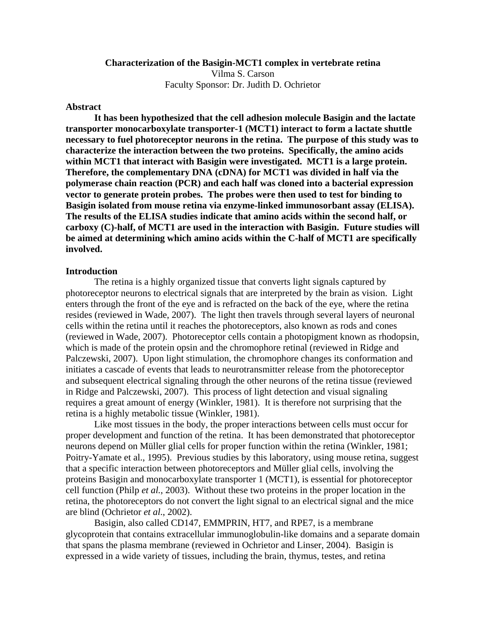# **Characterization of the Basigin-MCT1 complex in vertebrate retina**  Vilma S. Carson Faculty Sponsor: Dr. Judith D. Ochrietor

### **Abstract**

 **It has been hypothesized that the cell adhesion molecule Basigin and the lactate transporter monocarboxylate transporter-1 (MCT1) interact to form a lactate shuttle necessary to fuel photoreceptor neurons in the retina. The purpose of this study was to characterize the interaction between the two proteins. Specifically, the amino acids within MCT1 that interact with Basigin were investigated. MCT1 is a large protein. Therefore, the complementary DNA (cDNA) for MCT1 was divided in half via the polymerase chain reaction (PCR) and each half was cloned into a bacterial expression vector to generate protein probes. The probes were then used to test for binding to Basigin isolated from mouse retina via enzyme-linked immunosorbant assay (ELISA). The results of the ELISA studies indicate that amino acids within the second half, or carboxy (C)-half, of MCT1 are used in the interaction with Basigin. Future studies will be aimed at determining which amino acids within the C-half of MCT1 are specifically involved.** 

#### **Introduction**

 The retina is a highly organized tissue that converts light signals captured by photoreceptor neurons to electrical signals that are interpreted by the brain as vision. Light enters through the front of the eye and is refracted on the back of the eye, where the retina resides (reviewed in Wade, 2007). The light then travels through several layers of neuronal cells within the retina until it reaches the photoreceptors, also known as rods and cones (reviewed in Wade, 2007). Photoreceptor cells contain a photopigment known as rhodopsin, which is made of the protein opsin and the chromophore retinal (reviewed in Ridge and Palczewski, 2007). Upon light stimulation, the chromophore changes its conformation and initiates a cascade of events that leads to neurotransmitter release from the photoreceptor and subsequent electrical signaling through the other neurons of the retina tissue (reviewed in Ridge and Palczewski, 2007). This process of light detection and visual signaling requires a great amount of energy (Winkler, 1981). It is therefore not surprising that the retina is a highly metabolic tissue (Winkler, 1981).

Like most tissues in the body, the proper interactions between cells must occur for proper development and function of the retina. It has been demonstrated that photoreceptor neurons depend on Müller glial cells for proper function within the retina (Winkler, 1981; Poitry-Yamate et al., 1995). Previous studies by this laboratory, using mouse retina, suggest that a specific interaction between photoreceptors and Müller glial cells, involving the proteins Basigin and monocarboxylate transporter 1 (MCT1), is essential for photoreceptor cell function (Philp *et al.*, 2003). Without these two proteins in the proper location in the retina, the photoreceptors do not convert the light signal to an electrical signal and the mice are blind (Ochrietor *et al*., 2002).

 Basigin, also called CD147, EMMPRIN, HT7, and RPE7, is a membrane glycoprotein that contains extracellular immunoglobulin-like domains and a separate domain that spans the plasma membrane (reviewed in Ochrietor and Linser, 2004). Basigin is expressed in a wide variety of tissues, including the brain, thymus, testes, and retina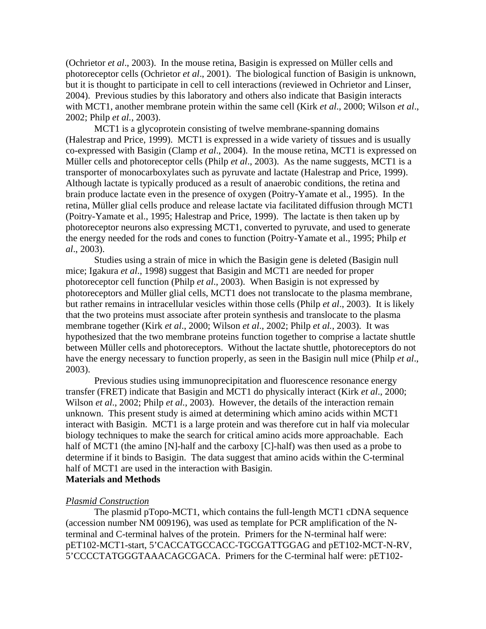(Ochrietor *et al*., 2003). In the mouse retina, Basigin is expressed on Müller cells and photoreceptor cells (Ochrietor *et al*., 2001). The biological function of Basigin is unknown, but it is thought to participate in cell to cell interactions (reviewed in Ochrietor and Linser, 2004). Previous studies by this laboratory and others also indicate that Basigin interacts with MCT1, another membrane protein within the same cell (Kirk *et al*., 2000; Wilson *et al*., 2002; Philp *et al.*, 2003).

MCT1 is a glycoprotein consisting of twelve membrane-spanning domains (Halestrap and Price, 1999). MCT1 is expressed in a wide variety of tissues and is usually co-expressed with Basigin (Clamp *et al*., 2004). In the mouse retina, MCT1 is expressed on Müller cells and photoreceptor cells (Philp *et al*., 2003). As the name suggests, MCT1 is a transporter of monocarboxylates such as pyruvate and lactate (Halestrap and Price, 1999). Although lactate is typically produced as a result of anaerobic conditions, the retina and brain produce lactate even in the presence of oxygen (Poitry-Yamate et al., 1995). In the retina, Müller glial cells produce and release lactate via facilitated diffusion through MCT1 (Poitry-Yamate et al., 1995; Halestrap and Price, 1999). The lactate is then taken up by photoreceptor neurons also expressing MCT1, converted to pyruvate, and used to generate the energy needed for the rods and cones to function (Poitry-Yamate et al., 1995; Philp *et al*., 2003).

 Studies using a strain of mice in which the Basigin gene is deleted (Basigin null mice; Igakura *et al*., 1998) suggest that Basigin and MCT1 are needed for proper photoreceptor cell function (Philp *et al*., 2003). When Basigin is not expressed by photoreceptors and Müller glial cells, MCT1 does not translocate to the plasma membrane, but rather remains in intracellular vesicles within those cells (Philp *et al*., 2003). It is likely that the two proteins must associate after protein synthesis and translocate to the plasma membrane together (Kirk *et al*., 2000; Wilson *et al*., 2002; Philp *et al.*, 2003). It was hypothesized that the two membrane proteins function together to comprise a lactate shuttle between Müller cells and photoreceptors. Without the lactate shuttle, photoreceptors do not have the energy necessary to function properly, as seen in the Basigin null mice (Philp *et al*., 2003).

 Previous studies using immunoprecipitation and fluorescence resonance energy transfer (FRET) indicate that Basigin and MCT1 do physically interact (Kirk *et al*., 2000; Wilson *et al.*, 2002; Philp *et al.*, 2003). However, the details of the interaction remain unknown. This present study is aimed at determining which amino acids within MCT1 interact with Basigin. MCT1 is a large protein and was therefore cut in half via molecular biology techniques to make the search for critical amino acids more approachable. Each half of MCT1 (the amino [N]-half and the carboxy [C]-half) was then used as a probe to determine if it binds to Basigin. The data suggest that amino acids within the C-terminal half of MCT1 are used in the interaction with Basigin. **Materials and Methods**

#### *Plasmid Construction*

 The plasmid pTopo-MCT1, which contains the full-length MCT1 cDNA sequence (accession number NM 009196), was used as template for PCR amplification of the Nterminal and C-terminal halves of the protein. Primers for the N-terminal half were: pET102-MCT1-start, 5'CACCATGCCACC-TGCGATTGGAG and pET102-MCT-N-RV, 5'CCCCTATGGGTAAACAGCGACA. Primers for the C-terminal half were: pET102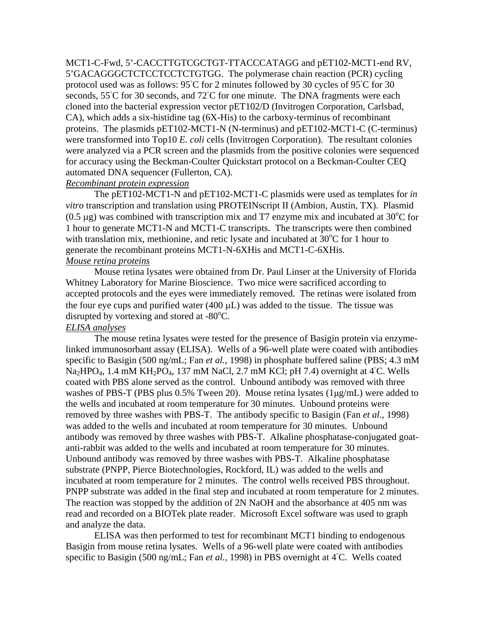MCT1-C-Fwd, 5'-CACCTTGTCGCTGT-TTACCCATAGG and pET102-MCT1-end RV, 5'GACAGGGCTCTCCTCCTCTGTGG. The polymerase chain reaction (PCR) cycling protocol used was as follows: 95℃ for 2 minutes followed by 30 cycles of 95℃ for 30 seconds, 55◦ C for 30 seconds, and 72◦ C for one minute. The DNA fragments were each cloned into the bacterial expression vector pET102/D (Invitrogen Corporation, Carlsbad, CA), which adds a six-histidine tag (6X-His) to the carboxy-terminus of recombinant proteins. The plasmids pET102-MCT1-N (N-terminus) and pET102-MCT1-C (C-terminus) were transformed into Top10 *E. coli* cells (Invitrogen Corporation)*.* The resultant colonies were analyzed via a PCR screen and the plasmids from the positive colonies were sequenced for accuracy using the Beckman-Coulter Quickstart protocol on a Beckman-Coulter CEQ automated DNA sequencer (Fullerton, CA).

# *Recombinant protein expression*

 The pET102-MCT1-N and pET102-MCT1-C plasmids were used as templates for *in vitro* transcription and translation using PROTEINscript II (Ambion, Austin, TX). Plasmid (0.5 μg) was combined with transcription mix and T7 enzyme mix and incubated at  $30^{\circ}$ C for 1 hour to generate MCT1-N and MCT1-C transcripts. The transcripts were then combined with translation mix, methionine, and retic lysate and incubated at  $30^{\circ}$ C for 1 hour to generate the recombinant proteins MCT1-N-6XHis and MCT1-C-6XHis. *Mouse retina proteins*

 Mouse retina lysates were obtained from Dr. Paul Linser at the University of Florida Whitney Laboratory for Marine Bioscience. Two mice were sacrificed according to accepted protocols and the eyes were immediately removed. The retinas were isolated from the four eye cups and purified water (400 μL) was added to the tissue. The tissue was disrupted by vortexing and stored at  $-80^{\circ}$ C.

## *ELISA analyses*

The mouse retina lysates were tested for the presence of Basigin protein via enzymelinked immunosorbant assay (ELISA). Wells of a 96-well plate were coated with antibodies specific to Basigin (500 ng/mL; Fan *et al.*, 1998) in phosphate buffered saline (PBS; 4.3 mM  $Na<sub>2</sub>HPO<sub>4</sub>$ , 1.4 mM KH<sub>2</sub>PO<sub>4</sub>, 137 mM NaCl, 2.7 mM KCl; pH 7.4) overnight at 4<sup>°</sup>C. Wells coated with PBS alone served as the control. Unbound antibody was removed with three washes of PBS-T (PBS plus 0.5% Tween 20). Mouse retina lysates (1μg/mL) were added to the wells and incubated at room temperature for 30 minutes. Unbound proteins were removed by three washes with PBS-T. The antibody specific to Basigin (Fan *et al.*, 1998) was added to the wells and incubated at room temperature for 30 minutes. Unbound antibody was removed by three washes with PBS-T. Alkaline phosphatase-conjugated goatanti-rabbit was added to the wells and incubated at room temperature for 30 minutes. Unbound antibody was removed by three washes with PBS-T. Alkaline phosphatase substrate (PNPP, Pierce Biotechnologies, Rockford, IL) was added to the wells and incubated at room temperature for 2 minutes. The control wells received PBS throughout. PNPP substrate was added in the final step and incubated at room temperature for 2 minutes. The reaction was stopped by the addition of 2N NaOH and the absorbance at 405 nm was read and recorded on a BIOTek plate reader. Microsoft Excel software was used to graph and analyze the data.

ELISA was then performed to test for recombinant MCT1 binding to endogenous Basigin from mouse retina lysates. Wells of a 96-well plate were coated with antibodies specific to Basigin (500 ng/mL; Fan *et al.*, 1998) in PBS overnight at 4<sup>°</sup>C. Wells coated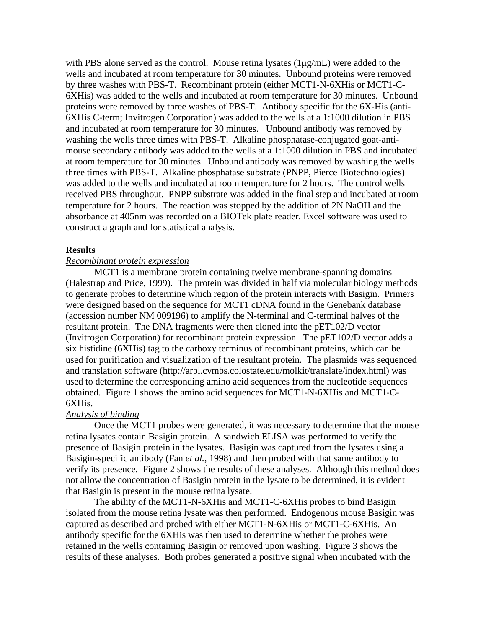with PBS alone served as the control. Mouse retina lysates (1μg/mL) were added to the wells and incubated at room temperature for 30 minutes. Unbound proteins were removed by three washes with PBS-T. Recombinant protein (either MCT1-N-6XHis or MCT1-C-6XHis) was added to the wells and incubated at room temperature for 30 minutes. Unbound proteins were removed by three washes of PBS-T. Antibody specific for the 6X-His (anti-6XHis C-term; Invitrogen Corporation) was added to the wells at a 1:1000 dilution in PBS and incubated at room temperature for 30 minutes. Unbound antibody was removed by washing the wells three times with PBS-T. Alkaline phosphatase-conjugated goat-antimouse secondary antibody was added to the wells at a 1:1000 dilution in PBS and incubated at room temperature for 30 minutes. Unbound antibody was removed by washing the wells three times with PBS-T. Alkaline phosphatase substrate (PNPP, Pierce Biotechnologies) was added to the wells and incubated at room temperature for 2 hours. The control wells received PBS throughout. PNPP substrate was added in the final step and incubated at room temperature for 2 hours. The reaction was stopped by the addition of 2N NaOH and the absorbance at 405nm was recorded on a BIOTek plate reader. Excel software was used to construct a graph and for statistical analysis.

#### **Results**

## *Recombinant protein expression*

 MCT1 is a membrane protein containing twelve membrane-spanning domains (Halestrap and Price, 1999). The protein was divided in half via molecular biology methods to generate probes to determine which region of the protein interacts with Basigin. Primers were designed based on the sequence for MCT1 cDNA found in the Genebank database (accession number NM 009196) to amplify the N-terminal and C-terminal halves of the resultant protein. The DNA fragments were then cloned into the pET102/D vector (Invitrogen Corporation) for recombinant protein expression. The pET102/D vector adds a six histidine (6XHis) tag to the carboxy terminus of recombinant proteins, which can be used for purification and visualization of the resultant protein. The plasmids was sequenced and translation software (http://arbl.cvmbs.colostate.edu/molkit/translate/index.html) was used to determine the corresponding amino acid sequences from the nucleotide sequences obtained. Figure 1 shows the amino acid sequences for MCT1-N-6XHis and MCT1-C-6XHis.

## *Analysis of binding*

 Once the MCT1 probes were generated, it was necessary to determine that the mouse retina lysates contain Basigin protein. A sandwich ELISA was performed to verify the presence of Basigin protein in the lysates. Basigin was captured from the lysates using a Basigin-specific antibody (Fan *et al.*, 1998) and then probed with that same antibody to verify its presence. Figure 2 shows the results of these analyses. Although this method does not allow the concentration of Basigin protein in the lysate to be determined, it is evident that Basigin is present in the mouse retina lysate.

 The ability of the MCT1-N-6XHis and MCT1-C-6XHis probes to bind Basigin isolated from the mouse retina lysate was then performed. Endogenous mouse Basigin was captured as described and probed with either MCT1-N-6XHis or MCT1-C-6XHis. An antibody specific for the 6XHis was then used to determine whether the probes were retained in the wells containing Basigin or removed upon washing. Figure 3 shows the results of these analyses. Both probes generated a positive signal when incubated with the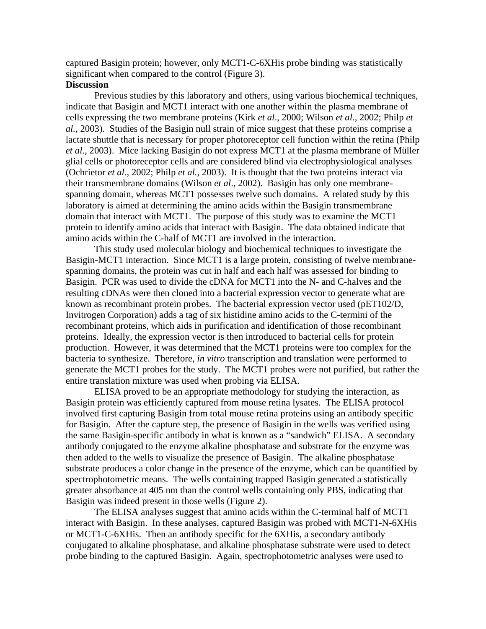captured Basigin protein; however, only MCT1-C-6XHis probe binding was statistically significant when compared to the control (Figure 3).

#### **Discussion**

 Previous studies by this laboratory and others, using various biochemical techniques, indicate that Basigin and MCT1 interact with one another within the plasma membrane of cells expressing the two membrane proteins (Kirk *et al*., 2000; Wilson *et al*., 2002; Philp *et al.*, 2003). Studies of the Basigin null strain of mice suggest that these proteins comprise a lactate shuttle that is necessary for proper photoreceptor cell function within the retina (Philp *et al.*, 2003). Mice lacking Basigin do not express MCT1 at the plasma membrane of Müller glial cells or photoreceptor cells and are considered blind via electrophysiological analyses (Ochrietor *et al*., 2002; Philp *et al.*, 2003). It is thought that the two proteins interact via their transmembrane domains (Wilson *et al*., 2002). Basigin has only one membranespanning domain, whereas MCT1 possesses twelve such domains. A related study by this laboratory is aimed at determining the amino acids within the Basigin transmembrane domain that interact with MCT1. The purpose of this study was to examine the MCT1 protein to identify amino acids that interact with Basigin. The data obtained indicate that amino acids within the C-half of MCT1 are involved in the interaction.

 This study used molecular biology and biochemical techniques to investigate the Basigin-MCT1 interaction. Since MCT1 is a large protein, consisting of twelve membranespanning domains, the protein was cut in half and each half was assessed for binding to Basigin. PCR was used to divide the cDNA for MCT1 into the N- and C-halves and the resulting cDNAs were then cloned into a bacterial expression vector to generate what are known as recombinant protein probes. The bacterial expression vector used (pET102/D, Invitrogen Corporation) adds a tag of six histidine amino acids to the C-termini of the recombinant proteins, which aids in purification and identification of those recombinant proteins. Ideally, the expression vector is then introduced to bacterial cells for protein production. However, it was determined that the MCT1 proteins were too complex for the bacteria to synthesize. Therefore, *in vitro* transcription and translation were performed to generate the MCT1 probes for the study. The MCT1 probes were not purified, but rather the entire translation mixture was used when probing via ELISA.

ELISA proved to be an appropriate methodology for studying the interaction, as Basigin protein was efficiently captured from mouse retina lysates. The ELISA protocol involved first capturing Basigin from total mouse retina proteins using an antibody specific for Basigin. After the capture step, the presence of Basigin in the wells was verified using the same Basigin-specific antibody in what is known as a "sandwich" ELISA. A secondary antibody conjugated to the enzyme alkaline phosphatase and substrate for the enzyme was then added to the wells to visualize the presence of Basigin. The alkaline phosphatase substrate produces a color change in the presence of the enzyme, which can be quantified by spectrophotometric means. The wells containing trapped Basigin generated a statistically greater absorbance at 405 nm than the control wells containing only PBS, indicating that Basigin was indeed present in those wells (Figure 2).

The ELISA analyses suggest that amino acids within the C-terminal half of MCT1 interact with Basigin. In these analyses, captured Basigin was probed with MCT1-N-6XHis or MCT1-C-6XHis. Then an antibody specific for the 6XHis, a secondary antibody conjugated to alkaline phosphatase, and alkaline phosphatase substrate were used to detect probe binding to the captured Basigin. Again, spectrophotometric analyses were used to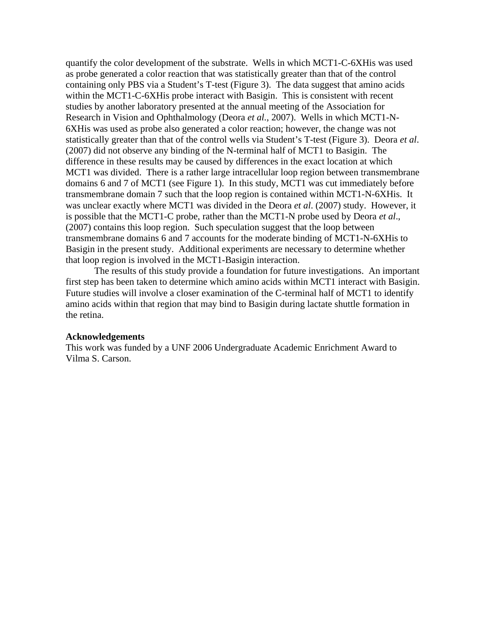quantify the color development of the substrate. Wells in which MCT1-C-6XHis was used as probe generated a color reaction that was statistically greater than that of the control containing only PBS via a Student's T-test (Figure 3). The data suggest that amino acids within the MCT1-C-6XHis probe interact with Basigin. This is consistent with recent studies by another laboratory presented at the annual meeting of the Association for Research in Vision and Ophthalmology (Deora *et al.*, 2007). Wells in which MCT1-N-6XHis was used as probe also generated a color reaction; however, the change was not statistically greater than that of the control wells via Student's T-test (Figure 3). Deora *et al*. (2007) did not observe any binding of the N-terminal half of MCT1 to Basigin. The difference in these results may be caused by differences in the exact location at which MCT1 was divided. There is a rather large intracellular loop region between transmembrane domains 6 and 7 of MCT1 (see Figure 1). In this study, MCT1 was cut immediately before transmembrane domain 7 such that the loop region is contained within MCT1-N-6XHis. It was unclear exactly where MCT1 was divided in the Deora *et al*. (2007) study. However, it is possible that the MCT1-C probe, rather than the MCT1-N probe used by Deora *et al*., (2007) contains this loop region. Such speculation suggest that the loop between transmembrane domains 6 and 7 accounts for the moderate binding of MCT1-N-6XHis to Basigin in the present study. Additional experiments are necessary to determine whether that loop region is involved in the MCT1-Basigin interaction.

The results of this study provide a foundation for future investigations. An important first step has been taken to determine which amino acids within MCT1 interact with Basigin. Future studies will involve a closer examination of the C-terminal half of MCT1 to identify amino acids within that region that may bind to Basigin during lactate shuttle formation in the retina.

#### **Acknowledgements**

This work was funded by a UNF 2006 Undergraduate Academic Enrichment Award to Vilma S. Carson.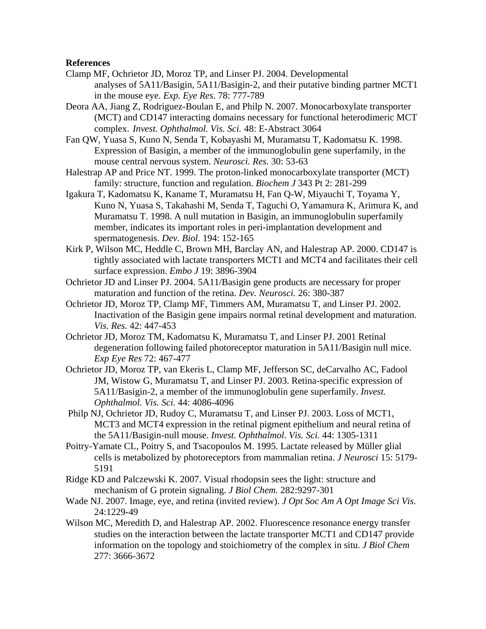## **References**

- Clamp MF, Ochrietor JD, Moroz TP, and Linser PJ. 2004. Developmental analyses of 5A11/Basigin, 5A11/Basigin-2, and their putative binding partner MCT1 in the mouse eye. *Exp. Eye Res*. 78: 777-789
- Deora AA, Jiang Z, Rodriguez-Boulan E, and Philp N. 2007. Monocarboxylate transporter (MCT) and CD147 interacting domains necessary for functional heterodimeric MCT complex. *Invest. Ophthalmol. Vis. Sci.* 48: E-Abstract 3064
- Fan QW, Yuasa S, Kuno N, Senda T, Kobayashi M, Muramatsu T, Kadomatsu K. 1998. Expression of Basigin, a member of the immunoglobulin gene superfamily, in the mouse central nervous system. *Neurosci. Res.* 30: 53-63
- Halestrap AP and Price NT. 1999. The proton-linked monocarboxylate transporter (MCT) family: structure, function and regulation. *Biochem J* 343 Pt 2: 281-299
- Igakura T, Kadomatsu K, Kaname T, Muramatsu H, Fan Q-W, Miyauchi T, Toyama Y, Kuno N, Yuasa S, Takahashi M, Senda T, Taguchi O, Yamamura K, Arimura K, and Muramatsu T. 1998. A null mutation in Basigin, an immunoglobulin superfamily member, indicates its important roles in peri-implantation development and spermatogenesis. *Dev. Biol.* 194: 152-165
- Kirk P, Wilson MC, Heddle C, Brown MH, Barclay AN, and Halestrap AP. 2000. CD147 is tightly associated with lactate transporters MCT1 and MCT4 and facilitates their cell surface expression. *Embo J* 19: 3896-3904
- Ochrietor JD and Linser PJ. 2004. 5A11/Basigin gene products are necessary for proper maturation and function of the retina. *Dev. Neurosci.* 26: 380-387
- Ochrietor JD, Moroz TP, Clamp MF, Timmers AM, Muramatsu T, and Linser PJ. 2002. Inactivation of the Basigin gene impairs normal retinal development and maturation. *Vis. Res.* 42: 447-453
- Ochrietor JD, Moroz TM, Kadomatsu K, Muramatsu T, and Linser PJ. 2001 Retinal degeneration following failed photoreceptor maturation in 5A11/Basigin null mice. *Exp Eye Res* 72: 467-477
- Ochrietor JD, Moroz TP, van Ekeris L, Clamp MF, Jefferson SC, deCarvalho AC, Fadool JM, Wistow G, Muramatsu T, and Linser PJ. 2003. Retina-specific expression of 5A11/Basigin-2, a member of the immunoglobulin gene superfamily. *Invest. Ophthalmol. Vis. Sci.* 44: 4086-4096
- Philp NJ, Ochrietor JD, Rudoy C, Muramatsu T, and Linser PJ. 2003. Loss of MCT1, MCT3 and MCT4 expression in the retinal pigment epithelium and neural retina of the 5A11/Basigin-null mouse. *Invest. Ophthalmol. Vis. Sci.* 44: 1305-1311
- Poitry-Yamate CL, Poitry S, and Tsacopoulos M. 1995. Lactate released by Müller glial cells is metabolized by photoreceptors from mammalian retina. *J Neurosci* 15: 5179- 5191
- Ridge KD and Palczewski K. 2007. Visual rhodopsin sees the light: structure and mechanism of G protein signaling. *J Biol Chem.* 282:9297-301
- Wade NJ. 2007. Image, eye, and retina (invited review). *J Opt Soc Am A Opt Image Sci Vis.* 24:1229-49
- Wilson MC, Meredith D, and Halestrap AP. 2002. Fluorescence resonance energy transfer studies on the interaction between the lactate transporter MCT1 and CD147 provide information on the topology and stoichiometry of the complex in situ. *J Biol Chem* 277: 3666-3672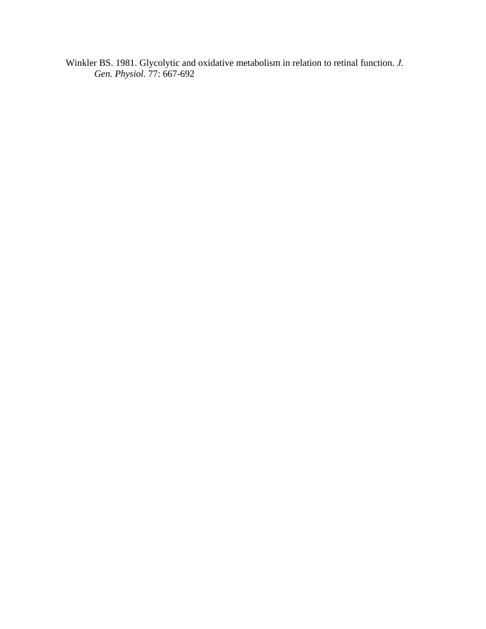Winkler BS. 1981. Glycolytic and oxidative metabolism in relation to retinal function. *J. Gen. Physiol.* 77: 667-692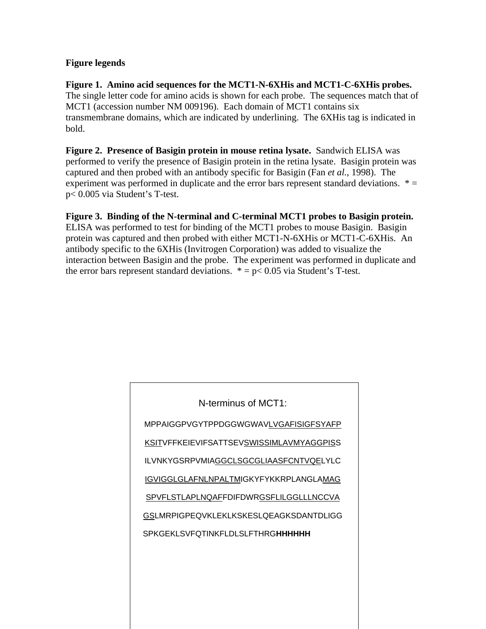# **Figure legends**

**Figure 1. Amino acid sequences for the MCT1-N-6XHis and MCT1-C-6XHis probes.**  The single letter code for amino acids is shown for each probe. The sequences match that of MCT1 (accession number NM 009196). Each domain of MCT1 contains six transmembrane domains, which are indicated by underlining. The 6XHis tag is indicated in bold.

**Figure 2. Presence of Basigin protein in mouse retina lysate.** Sandwich ELISA was performed to verify the presence of Basigin protein in the retina lysate. Basigin protein was captured and then probed with an antibody specific for Basigin (Fan *et al.*, 1998). The experiment was performed in duplicate and the error bars represent standard deviations.  $* =$ p< 0.005 via Student's T-test.

# **Figure 3. Binding of the N-terminal and C-terminal MCT1 probes to Basigin protein.**

ELISA was performed to test for binding of the MCT1 probes to mouse Basigin. Basigin protein was captured and then probed with either MCT1-N-6XHis or MCT1-C-6XHis. An antibody specific to the 6XHis (Invitrogen Corporation) was added to visualize the interaction between Basigin and the probe. The experiment was performed in duplicate and the error bars represent standard deviations.  $* = p < 0.05$  via Student's T-test.

| N-terminus of MCT1:                           |
|-----------------------------------------------|
| MPPAIGGPVGYTPPDGGWGWAVLVGAFISIGFSYAFP         |
| KSITVFFKEIEVIFSATTSEVSWISSIMLAVMYAGGPISS      |
| ILVNKYGSRPVMIAGGCLSGCGLIAASFCNTVQELYLC        |
| <b>IGVIGGLGLAFNLNPALTMIGKYFYKKRPLANGLAMAG</b> |
| SPVFLSTLAPLNQAFFDIFDWRGSFLILGGLLLNCCVA        |
| GSLMRPIGPEQVKLEKLKSKESLQEAGKSDANTDLIGG        |
| <b>SPKGEKLSVFQTINKFLDLSLFTHRGHHHHHHH</b>      |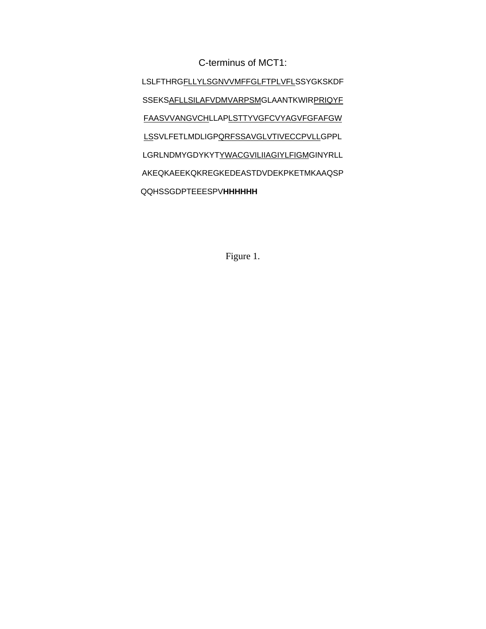C-terminus of MCT1:

LSLFTHRGFLLYLSGNVVMFFGLFTPLVFLSSYGKSKDF SSEKSAFLLSILAFVDMVARPSMGLAANTKWIRPRIQYF FAASVVANGVCHLLAPLSTTYVGFCVYAGVFGFAFGW LSSVLFETLMDLIGPQRFSSAVGLVTIVECCPVLLGPPL LGRLNDMYGDYKYTYWACGVILIIAGIYLFIGMGINYRLL AKEQKAEEKQKREGKEDEASTDVDEKPKETMKAAQSP QQHSSGDPTEEESPV**HHHHHH**

Figure 1.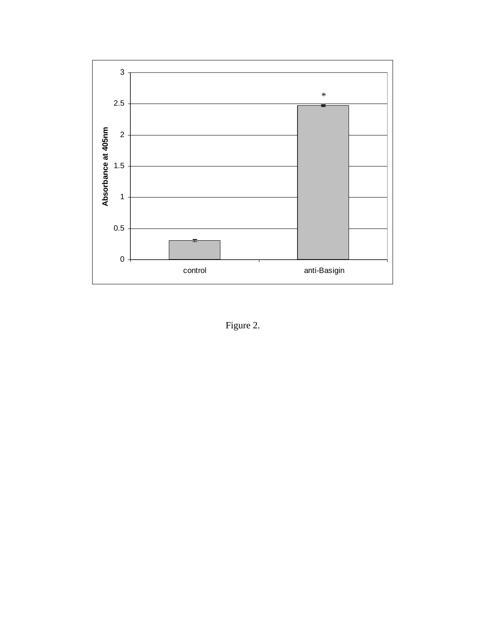

Figure 2.